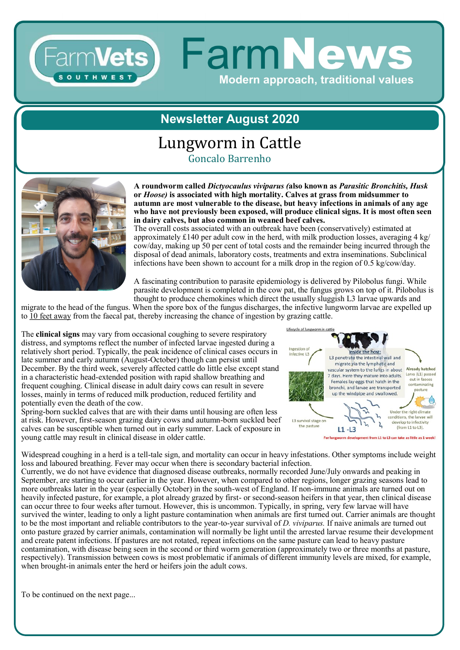### **FarmNews** Farm**Vets** Modern approach, traditional values

#### **Newsletter August 2020**

# Lungworm in Cattle

Goncalo Barrenho



**A roundworm called** *Dictyocaulus viviparus (***also known as** *Parasitic Bronchitis, Husk*  **or** *Hoose)* **is associated with high mortality. Calves at grass from midsummer to autumn are most vulnerable to the disease, but heavy infections in animals of any age who have not previously been exposed, will produce clinical signs. It is most often seen in dairy calves, but also common in weaned beef calves.** 

The overall costs associated with an outbreak have been (conservatively) estimated at approximately £140 per adult cow in the herd, with milk production losses, averaging 4 kg/ cow/day, making up 50 per cent of total costs and the remainder being incurred through the disposal of dead animals, laboratory costs, treatments and extra inseminations. Subclinical infections have been shown to account for a milk drop in the region of 0.5 kg/cow/day.

A fascinating contribution to parasite epidemiology is delivered by Pilobolus fungi. While parasite development is completed in the cow pat, the fungus grows on top of it. Pilobolus is thought to produce chemokines which direct the usually sluggish L3 larvae upwards and

migrate to the head of the fungus. When the spore box of the fungus discharges, the infective lungworm larvae are expelled up to 10 feet away from the faecal pat, thereby increasing the chance of ingestion by grazing cattle.

The **clinical signs** may vary from occasional coughing to severe respiratory distress, and symptoms reflect the number of infected larvae ingested during a relatively short period. Typically, the peak incidence of clinical cases occurs in late summer and early autumn (August-October) though can persist until December. By the third week, severely affected cattle do little else except stand in a characteristic head-extended position with rapid shallow breathing and frequent coughing. Clinical disease in adult dairy cows can result in severe losses, mainly in terms of reduced milk production, reduced fertility and potentially even the death of the cow.

Spring-born suckled calves that are with their dams until housing are often less at risk. However, first-season grazing dairy cows and autumn-born suckled beef calves can be susceptible when turned out in early summer. Lack of exposure in young cattle may result in clinical disease in older cattle.



Widespread coughing in a herd is a tell-tale sign, and mortality can occur in heavy infestations. Other symptoms include weight loss and laboured breathing. Fever may occur when there is secondary bacterial infection.

Currently, we do not have evidence that diagnosed disease outbreaks, normally recorded June/July onwards and peaking in September, are starting to occur earlier in the year. However, when compared to other regions, longer grazing seasons lead to more outbreaks later in the year (especially October) in the south-west of England. If non-immune animals are turned out on heavily infected pasture, for example, a plot already grazed by first- or second-season heifers in that year, then clinical disease can occur three to four weeks after turnout. However, this is uncommon. Typically, in spring, very few larvae will have survived the winter, leading to only a light pasture contamination when animals are first turned out. Carrier animals are thought to be the most important and reliable contributors to the year-to-year survival of *D. viviparus.* If naive animals are turned out onto pasture grazed by carrier animals, contamination will normally be light until the arrested larvae resume their development and create patent infections. If pastures are not rotated, repeat infections on the same pasture can lead to heavy pasture contamination, with disease being seen in the second or third worm generation (approximately two or three months at pasture, respectively). Transmission between cows is most problematic if animals of different immunity levels are mixed, for example, when brought-in animals enter the herd or heifers join the adult cows.

To be continued on the next page...